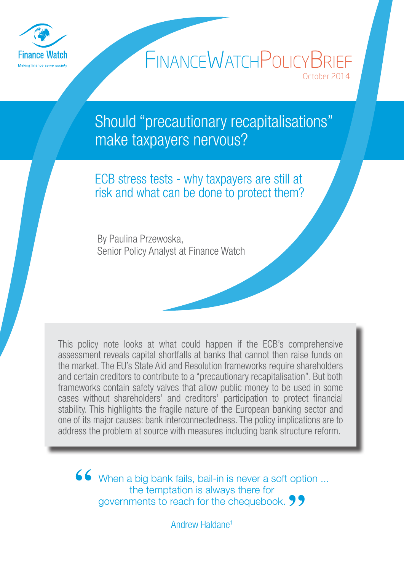

# October 2014 FINANCEWATCHPOLICYBRIEF

Should "precautionary recapitalisations" make taxpayers nervous?

ECB stress tests - why taxpayers are still at risk and what can be done to protect them?

By Paulina Przewoska, Senior Policy Analyst at Finance Watch

This policy note looks at what could happen if the ECB's comprehensive assessment reveals capital shortfalls at banks that cannot then raise funds on the market. The EU's State Aid and Resolution frameworks require shareholders and certain creditors to contribute to a "precautionary recapitalisation". But both frameworks contain safety valves that allow public money to be used in some cases without shareholders' and creditors' participation to protect financial stability. This highlights the fragile nature of the European banking sector and one of its major causes: bank interconnectedness. The policy implications are to address the problem at source with measures including bank structure reform.

**"** When a big bank fails, bail-in is never a soft option ... the temptation is always there for governments to reach for the chequebook.**"**

Andrew Haldane1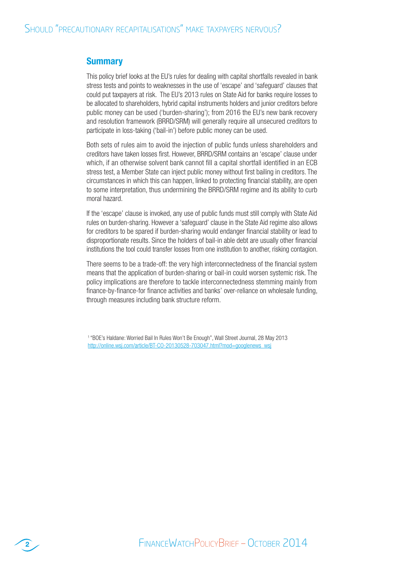# **Summary**

This policy brief looks at the EU's rules for dealing with capital shortfalls revealed in bank stress tests and points to weaknesses in the use of 'escape' and 'safeguard' clauses that could put taxpayers at risk. The EU's 2013 rules on State Aid for banks require losses to be allocated to shareholders, hybrid capital instruments holders and junior creditors before public money can be used ('burden-sharing'); from 2016 the EU's new bank recovery and resolution framework (BRRD/SRM) will generally require all unsecured creditors to participate in loss-taking ('bail-in') before public money can be used.

Both sets of rules aim to avoid the injection of public funds unless shareholders and creditors have taken losses first. However, BRRD/SRM contains an 'escape' clause under which, if an otherwise solvent bank cannot fill a capital shortfall identified in an ECB stress test, a Member State can inject public money without first bailing in creditors. The circumstances in which this can happen, linked to protecting financial stability, are open to some interpretation, thus undermining the BRRD/SRM regime and its ability to curb moral hazard.

If the 'escape' clause is invoked, any use of public funds must still comply with State Aid rules on burden-sharing. However a 'safeguard' clause in the State Aid regime also allows for creditors to be spared if burden-sharing would endanger financial stability or lead to disproportionate results. Since the holders of bail-in able debt are usually other financial institutions the tool could transfer losses from one institution to another, risking contagion.

There seems to be a trade-off: the very high interconnectedness of the financial system means that the application of burden-sharing or bail-in could worsen systemic risk. The policy implications are therefore to tackle interconnectedness stemming mainly from finance-by-finance-for finance activities and banks' over-reliance on wholesale funding, through measures including bank structure reform.

<sup>1</sup>"BOE's Haldane: Worried Bail In Rules Won't Be Enough", Wall Street Journal, 28 May 2013 http://online.wsj.com/article/BT-CO-20130528-703047.html?mod=googlenews\_wsj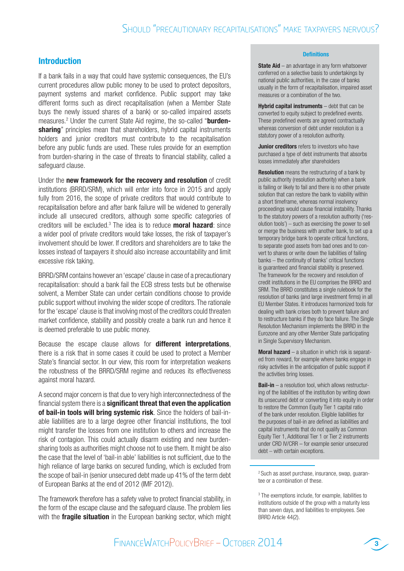### Introduction

sharing" principles mean that shareholders, hybrid capital instruments If a bank fails in a way that could have systemic consequences, the EU's current procedures allow public money to be used to protect depositors, payment systems and market confidence. Public support may take different forms such as direct recapitalisation (when a Member State buys the newly issued shares of a bank) or so-called impaired assets measures.<sup>2</sup> Under the current State Aid regime, the so-called "burdenholders and junior creditors must contribute to the recapitalisation before any public funds are used. These rules provide for an exemption from burden-sharing in the case of threats to financial stability, called a safeguard clause.

Under the new framework for the recovery and resolution of credit institutions (BRRD/SRM), which will enter into force in 2015 and apply fully from 2016, the scope of private creditors that would contribute to recapitalisation before and after bank failure will be widened to generally include all unsecured creditors, although some specific categories of creditors will be excluded.<sup>3</sup> The idea is to reduce **moral hazard**: since a wider pool of private creditors would take losses, the risk of taxpayer's involvement should be lower. If creditors and shareholders are to take the losses instead of taxpayers it should also increase accountability and limit excessive risk taking.

BRRD/SRM contains however an 'escape' clause in case of a precautionary recapitalisation: should a bank fail the ECB stress tests but be otherwise solvent, a Member State can under certain conditions choose to provide public support without involving the wider scope of creditors. The rationale for the 'escape' clause is that involving most of the creditors could threaten market confidence, stability and possibly create a bank run and hence it is deemed preferable to use public money.

Because the escape clause allows for **different interpretations**, there is a risk that in some cases it could be used to protect a Member State's financial sector. In our view, this room for interpretation weakens the robustness of the BRRD/SRM regime and reduces its effectiveness against moral hazard.

A second major concern is that due to very high interconnectedness of the financial system there is a **significant threat that even the application** of bail-in tools will bring systemic risk. Since the holders of bail-inable liabilities are to a large degree other financial institutions, the tool might transfer the losses from one institution to others and increase the risk of contagion. This could actually disarm existing and new burdensharing tools as authorities might choose not to use them. It might be also the case that the level of 'bail-in able' liabilities is not sufficient, due to the high reliance of large banks on secured funding, which is excluded from the scope of bail-in (senior unsecured debt made up 41% of the term debt of European Banks at the end of 2012 (IMF 2012)).

The framework therefore has a safety valve to protect financial stability, in the form of the escape clause and the safeguard clause. The problem lies with the **fragile situation** in the European banking sector, which might

#### **Definitions**

**State Aid** – an advantage in any form whatsoever conferred on a selective basis to undertakings by national public authorities, in the case of banks usually in the form of recapitalisation, impaired asset measures or a combination of the two.

**Hybrid capital instruments**  $-$  debt that can be converted to equity subject to predefined events. These predefined events are agreed contractually whereas conversion of debt under resolution is a statutory power of a resolution authority.

**Junior creditors** refers to investors who have purchased a type of debt instruments that absorbs losses immediately after shareholders

**Resolution** means the restructuring of a bank by public authority (resolution authority) when a bank is failing or likely to fail and there is no other private solution that can restore the bank to viability within a short timeframe, whereas normal insolvency proceedings would cause financial instability. Thanks to the statutory powers of a resolution authority ('resolution tools') – such as exercising the power to sell or merge the business with another bank, to set up a temporary bridge bank to operate critical functions, to separate good assets from bad ones and to convert to shares or write down the liabilities of failing banks – the continuity of banks' critical functions is guaranteed and financial stability is preserved. The framework for the recovery and resolution of credit institutions in the EU comprises the BRRD and SRM. The BRRD constitutes a single rulebook for the resolution of banks (and large investment firms) in all EU Member States. It introduces harmonized tools for dealing with bank crises both to prevent failure and to restructure banks if they do face failure. The Single Resolution Mechanism implements the BRRD in the Eurozone and any other Member State participating in Single Supervisory Mechanism.

**Moral hazard**  $-$  a situation in which risk is separated from reward, for example where banks engage in risky activities in the anticipation of public support if the activities bring losses.

**Bail-in** – a resolution tool, which allows restructuring of the liabilities of the institution by writing down its unsecured debt or converting it into equity in order to restore the Common Equity Tier 1 capital ratio of the bank under resolution. Eligible liabilities for the purposes of bail-in are defined as liabilities and capital instruments that do not qualify as Common Equity Tier 1, Additional Tier 1 or Tier 2 instruments under CRD IV/CRR – for example senior unsecured debt – with certain exceptions.



<sup>&</sup>lt;sup>2</sup> Such as asset purchase, insurance, swap, quarantee or a combination of these.

<sup>3</sup> The exemptions include, for example, liabilities to institutions outside of the group with a maturity less than seven days, and liabilities to employees. See BRRD Article 44(2).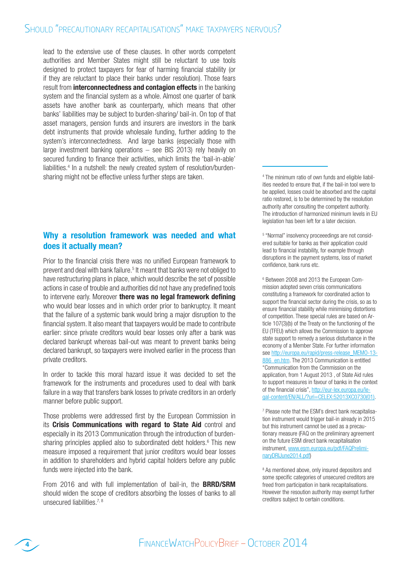# SHOULD "PRECAUTIONARY RECAPITALISATIONS" MAKE TAXPAYERS NERVOUS?

lead to the extensive use of these clauses. In other words competent authorities and Member States might still be reluctant to use tools designed to protect taxpayers for fear of harming financial stability (or if they are reluctant to place their banks under resolution). Those fears result from *interconnectedness and contagion effects* in the banking system and the financial system as a whole. Almost one quarter of bank assets have another bank as counterparty, which means that other banks' liabilities may be subject to burden-sharing/ bail-in. On top of that asset managers, pension funds and insurers are investors in the bank debt instruments that provide wholesale funding, further adding to the system's interconnectedness. And large banks (especially those with large investment banking operations – see BIS 2013) rely heavily on secured funding to finance their activities, which limits the 'bail-in-able' liabilities.<sup>4</sup> In a nutshell: the newly created system of resolution/burdensharing might not be effective unless further steps are taken.

# Why a resolution framework was needed and what does it actually mean?

Prior to the financial crisis there was no unified European framework to prevent and deal with bank failure.<sup>5</sup> It meant that banks were not obliged to have restructuring plans in place, which would describe the set of possible actions in case of trouble and authorities did not have any predefined tools to intervene early. Moreover there was no legal framework defining who would bear losses and in which order prior to bankruptcy. It meant that the failure of a systemic bank would bring a major disruption to the financial system. It also meant that taxpayers would be made to contribute earlier: since private creditors would bear losses only after a bank was declared bankrupt whereas bail-out was meant to prevent banks being declared bankrupt, so taxpayers were involved earlier in the process than private creditors.

In order to tackle this moral hazard issue it was decided to set the framework for the instruments and procedures used to deal with bank failure in a way that transfers bank losses to private creditors in an orderly manner before public support.

Those problems were addressed first by the European Commission in its Crisis Communications with regard to State Aid control and especially in its 2013 Communication through the introduction of burdensharing principles applied also to subordinated debt holders.<sup>6</sup> This new measure imposed a requirement that junior creditors would bear losses in addition to shareholders and hybrid capital holders before any public funds were injected into the bank.

From 2016 and with full implementation of bail-in, the **BRRD/SRM** should widen the scope of creditors absorbing the losses of banks to all unsecured liabilities.  $7, 8$ 

4 The minimum ratio of own funds and eligible liabilities needed to ensure that, if the bail-in tool were to be applied, losses could be absorbed and the capital ratio restored, is to be determined by the resolution authority after consulting the competent authority. The introduction of harmonized minimum levels in EU legislation has been left for a later decision.

5 "Normal" insolvency proceeedings are not considered suitable for banks as their application could lead to financial instability, for example through disruptions in the payment systems, loss of market confidence, bank runs etc.

6 Between 2008 and 2013 the European Commission adopted seven crisis communications constituting a framework for coordinated action to support the financial sector during the crisis, so as to ensure financial stability while minimising distortions of competition. These special rules are based on Article 107(3)(b) of the Treaty on the functioning of the EU (TFEU) which allows the Commission to approve state support to remedy a serious disturbance in the economy of a Member State. For further information see http://europa.eu/rapid/press-release\_MEMO-13-886 en.htm. The 2013 Communication is entitled "Communication from the Commission on the application, from 1 August 2013 , of State Aid rules to support measures in favour of banks in the context of the financial crisis", http://eur-lex.europa.eu/legal-content/EN/ALL/?uri=CELEX:52013XC0730(01).

7 Please note that the ESM's direct bank recapitalisation instrument would trigger bail-in already in 2015 but this instrument cannot be used as a precautionary measure (FAQ on the preliminary agreement on the future ESM direct bank recapitalisation instrument, www.esm.europa.eu/pdf/FAQPreliminaryDRIJune2014.pdf)

<sup>8</sup> As mentioned above, only insured depositors and some specific categories of unsecured creditors are freed from participation in bank recapitalisations. However the resoution authority may exempt further creditors subject to certain conditions.

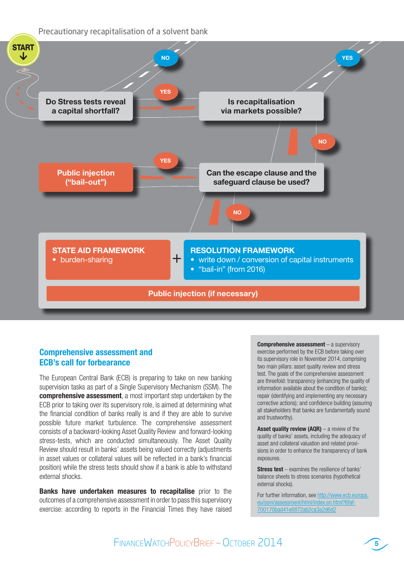Precautionary recapitalisation of a solvent bank



# Comprehensive assessment and ECB's call for forbearance

The European Central Bank (ECB) is preparing to take on new banking supervision tasks as part of a Single Supervisory Mechanism (SSM). The comprehensive assessment, a most important step undertaken by the ECB prior to taking over its supervisory role, is aimed at determining what the financial condition of banks really is and if they are able to survive possible future market turbulence. The comprehensive assessment consists of a backward-looking Asset Quality Review and forward-looking stress-tests, which are conducted simultaneously. The Asset Quality Review should result in banks' assets being valued correctly (adjustments in asset values or collateral values will be reflected in a bank's financial position) while the stress tests should show if a bank is able to withstand external shocks.

**Banks have undertaken measures to recapitalise** prior to the outcomes of a comprehensive assessment in order to pass this supervisory exercise: according to reports in the Financial Times they have raised Comprehensive assessment - a supervisory exercise performed by the ECB before taking over its supervisory role in November 2014, comprising two main pillars: asset quality review and stress test. The goals of the comprehensive assessment are threefold: transparency (enhancing the quality of information available about the condition of banks); repair (identifying and implementing any necessary corrective actions); and confidence building (assuring all stakeholders that banks are fundamentally sound and trustworthy).

**Asset quality review (AQR)**  $-$  a review of the quality of banks' assets, including the adequacy of asset and collateral valuation and related provisions in order to enhance the transparency of bank exposures.

**Stress test** – examines the resilience of banks' balance sheets to stress scenarios (hypothetical external shocks).

For further information, see http://www.ecb.europa. eu/ssm/assessment/html/index.en.html?6faf-700170bad41e6872ab2ca3a2d6d2

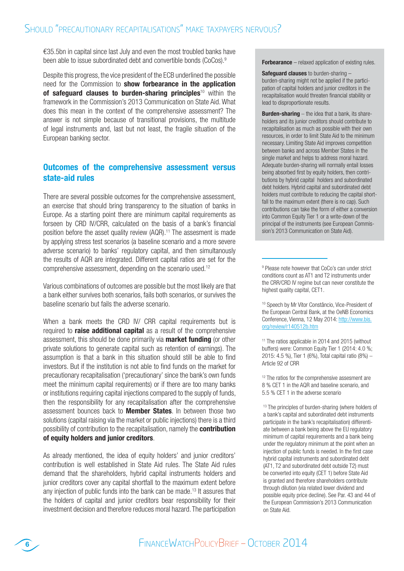€35.5bn in capital since last July and even the most troubled banks have been able to issue subordinated debt and convertible bonds (CoCos).<sup>9</sup>

Despite this progress, the vice president of the ECB underlined the possible need for the Commission to **show forbearance in the application** of safequard clauses to burden-sharing principles<sup>10</sup> within the framework in the Commission's 2013 Communication on State Aid. What does this mean in the context of the comprehensive assessment? The answer is not simple because of transitional provisions, the multitude of legal instruments and, last but not least, the fragile situation of the European banking sector.

# Outcomes of the comprehensive assessment versus state-aid rules

There are several possible outcomes for the comprehensive assessment, an exercise that should bring transparency to the situation of banks in Europe. As a starting point there are minimum capital requirements as forseen by CRD IV/CRR, calculated on the basis of a bank's financial position before the asset quality review (AQR).<sup>11</sup> The assesment is made by applying stress test scenarios (a baseline scenario and a more severe adverse scenario) to banks' regulatory capital, and then simultanously the results of AQR are integrated. Different capital ratios are set for the comprehensive assessment, depending on the scenario used.<sup>12</sup>

Various combinations of outcomes are possible but the most likely are that a bank either survives both scenarios, fails both scenarios, or survives the baseline scenario but fails the adverse scenario.

When a bank meets the CRD IV/ CRR capital requirements but is required to **raise additional capital** as a result of the comprehensive assessment, this should be done primarily via **market funding** (or other private solutions to generate capital such as retention of earnings). The assumption is that a bank in this situation should still be able to find investors. But if the institution is not able to find funds on the market for precautionary recapitalisation ('precautionary' since the bank's own funds meet the minimum capital requirements) or if there are too many banks or institutions requiring capital injections compared to the supply of funds, then the responsibility for any recapitalisation after the comprehensive assessment bounces back to **Member States**. In between those two solutions (capital raising via the market or public injections) there is a third possibility of contribution to the recapitalisation, namely the **contribution** of equity holders and junior creditors.

As already mentioned, the idea of equity holders' and junior creditors' contribution is well established in State Aid rules. The State Aid rules demand that the shareholders, hybrid capital instruments holders and junior creditors cover any capital shortfall to the maximum extent before any injection of public funds into the bank can be made.<sup>13</sup> It assures that the holders of capital and junior creditors bear responsibility for their investment decision and therefore reduces moral hazard. The participation Forbearance – relaxed application of existing rules.

**Safeguard clauses** to burden-sharing – burden-sharing might not be applied if the participation of capital holders and junior creditors in the recapitalisation would threaten financial stability or lead to disproportionate results.

**Burden-sharing**  $-$  the idea that a bank, its shareholders and its junior creditors should contribute to recapitalisation as much as possible with their own resources, in order to limit State Aid to the minimum necessary. Limiting State Aid improves competition between banks and across Member States in the single market and helps to address moral hazard. Adequate burden-sharing will normally entail losses being absorbed first by equity holders, then contributions by hybrid capital holders and subordinated debt holders. Hybrid capital and subordinated debt holders must contribute to reducing the capital shortfall to the maximum extent (there is no cap). Such contributions can take the form of either a conversion into Common Equity Tier 1 or a write-down of the principal of the instruments (see European Commission's 2013 Communication on State Aid).

9 Please note however that CoCo's can under strict conditions count as AT1 and T2 instruments under the CRR/CRD IV regime but can never constitute the highest quality capital, CET1.

<sup>10</sup> Speech by Mr Vítor Constâncio, Vice-President of the European Central Bank, at the OeNB Economics Conference, Vienna, 12 May 2014: http://www.bis. org/review/r140512b.htm

<sup>11</sup> The ratios applicable in 2014 and 2015 (without buffers) were: Common Equity Tier 1 (2014: 4.0 %; 2015: 4.5 %), Tier 1 (6%), Total capital ratio (8%) – Article 92 of CRR

<sup>12</sup> The ratios for the comprehensive assesment are 8 % CET 1 in the AQR and baseline scenario, and 5.5 % CET 1 in the adverse scenario

<sup>13</sup> The principles of burden-sharing (where holders of a bank's capital and subordinated debt instruments participate in the bank's recapitalisation) differentiate between a bank being above the EU regulatory minimum of capital requirements and a bank being under the regulatory minimum at the point when an injection of public funds is needed. In the first case hybrid capital instruments and subordinated debt (AT1, T2 and subordinated debt outside T2) must be converted into equity (CET 1) before State Aid is granted and therefore shareholders contribute through dilution (via related lower dividend and possible equity price decline). See Par. 43 and 44 of the European Commission's 2013 Communication on State Aid.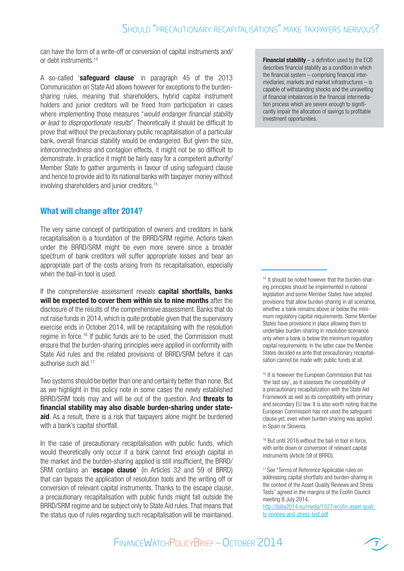can have the form of a write-off or conversion of capital instruments and/ or debt instruments.<sup>14</sup>

A so-called 'safeguard clause' in paragraph 45 of the 2013 Communication on State Aid allows however for exceptions to the burdensharing rules, meaning that shareholders, hybrid capital instrument holders and junior creditors will be freed from participation in cases where implementing those measures "would endanger financial stability or lead to disproportionate results". Theoretically it should be difficult to prove that without the precautionary public recapitalisation of a particular bank, overall financial stability would be endangered. But given the size, interconnectedness and contagion effects, it might not be so difficult to demonstrate. In practice it might be fairly easy for a competent authority/ Member State to gather arguments in favour of using safeguard clause and hence to provide aid to its national banks with taxpayer money without involving shareholders and junior creditors.<sup>15</sup>

# What will change after 2014?

The very same concept of participation of owners and creditors in bank recapitalisation is a foundation of the BRRD/SRM regime. Actions taken under the BRRD/SRM might be even more severe since a broader spectrum of bank creditors will suffer appropriate losses and bear an appropriate part of the costs arising from its recapitalisation, especially when the bail-in tool is used.

If the comprehensive assessment reveals capital shortfalls, banks will be expected to cover them within six to nine months after the disclosure of the results of the comprehensive assessment. Banks that do not raise funds in 2014, which is quite probable given that the supervisory exercise ends in October 2014, will be recapitalising with the resolution regime in force.16 If public funds are to be used, the Commission must ensure that the burden-sharing principles were applied in conformity with State Aid rules and the related provisions of BRRD/SRM before it can authorise such aid.<sup>17</sup>

Two systems should be better than one and certainly better than none. But as we highlight in this policy note in some cases the newly established BRRD/SRM tools may and will be out of the question. And **threats to** financial stability may also disable burden-sharing under state**aid**. As a result, there is a risk that taxpayers alone might be burdened with a bank's capital shortfall.

In the case of precautionary recapitalisation with public funds, which would theoretically only occur if a bank cannot find enough capital in the market and the burden-sharing applied is still insufficient, the BRRD/ SRM contains an 'escape clause' (in Articles 32 and 59 of BRRD) that can bypass the application of resolution tools and the writing off or conversion of relevant capital instruments. Thanks to the escape clause, a precautionary recapitalisation with public funds might fall outside the BRRD/SRM regime and be subject only to State Aid rules. That means that the status quo of rules regarding such recapitalisation will be maintained.

**Financial stability**  $-$  a definition used by the ECB describes financial stability as a condition in which the financial system – comprising financial intermediaries, markets and market infrastructures – is capable of withstanding shocks and the unravelling of financial imbalances in the financial intermediation process which are severe enough to significantly impair the allocation of savings to profitable investment opportunities.

14 It should be noted however that the burden-sharing principles should be implemented in national legislation and some Member States have adopted provisions that allow burden-sharing in all scenarios, whether a bank remains above or below the minimum regulatory capital requirements. Some Member States have provisions in place allowing them to undertake burden-sharing in resolution scenarios only when a bank is below the minimum regulatory capital requirements. In the latter case the Member States decided ex ante that precautionary recapitalisation cannot be made with public funds at all.

<sup>15</sup> It is however the European Commission that has 'the last say', as it assesses the compatibility of a precautionary recapitalization with the State Aid Framework as well as its compatibility with primary and secondary EU law. It is also worth noting that the European Commission has not used the safeguard clause yet, even when burden-sharing was applied in Spain or Slovenia.

<sup>16</sup> But until 2016 without the bail-in tool in force, with write down or conversion of relevant capital instruments (Article 59 of BRRD).

<sup>17</sup> See "Terms of Reference Applicable rules on addressing capital shortfalls and burden-sharing in the context of the Asset Quality Reviews and Stress Tests" agreed in the margins of the Ecofin Council meeting 8 July 2014,

http://italia2014.eu/media/1327/ecofin-asset-quality-reviews-and-stress-test.pdf

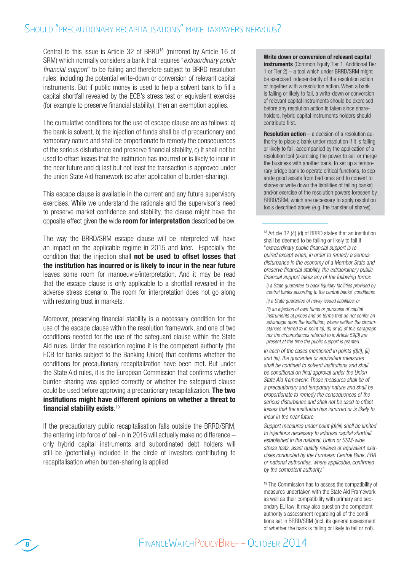Central to this issue is Article 32 of BRRD<sup>18</sup> (mirrored by Article 16 of SRM) which normally considers a bank that requires "extraordinary public financial support" to be failing and therefore subject to BRRD resolution rules, including the potential write-down or conversion of relevant capital instruments. But if public money is used to help a solvent bank to fill a capital shortfall revealed by the ECB's stress test or equivalent exercise (for example to preserve financial stability), then an exemption applies.

The cumulative conditions for the use of escape clause are as follows: a) the bank is solvent, b) the injection of funds shall be of precautionary and temporary nature and shall be proportionate to remedy the consequences of the serious disturbance and preserve financial stability, c) it shall not be used to offset losses that the institution has incurred or is likely to incur in the near future and d) last but not least the transaction is approved under the union State Aid framework (so after application of burden-sharing).

This escape clause is available in the current and any future supervisory exercises. While we understand the rationale and the supervisor's need to preserve market confidence and stability, the clause might have the opposite effect given the wide room for interpretation described below.

The way the BRRD/SRM escape clause will be interpreted will have an impact on the applicable regime in 2015 and later. Especially the condition that the injection shall not be used to offset losses that the institution has incurred or is likely to incur in the near future leaves some room for manoeuvre/interpretation. And it may be read that the escape clause is only applicable to a shortfall revealed in the adverse stress scenario. The room for interpretation does not go along with restoring trust in markets.

Moreover, preserving financial stability is a necessary condition for the use of the escape clause within the resolution framework, and one of two conditions needed for the use of the safeguard clause within the State Aid rules. Under the resolution regime it is the competent authority (the ECB for banks subject to the Banking Union) that confirms whether the conditions for precautionary recapitalization have been met. But under the State Aid rules, it is the European Commission that confirms whether burden-sharing was applied correctly or whether the safeguard clause could be used before approving a precautionary recapitalization. The two institutions might have different opinions on whether a threat to financial stability exists. 19

If the precautionary public recapitalisation falls outside the BRRD/SRM, the entering into force of bail-in in 2016 will actually make no difference – only hybrid capital instruments and subordinated debt holders will still be (potentially) included in the circle of investors contributing to recapitalisation when burden-sharing is applied.

#### Write down or conversion of relevant capital

instruments (Common Equity Tier 1, Additional Tier 1 or Tier 2) – a tool which under BRRD/SRM might be exercised independently of the resolution action or together with a resolution action. When a bank is failing or likely to fail, a write-down or conversion of relevant capital instruments should be exercised before any resolution action is taken since shareholders, hybrid capital instruments holders should contribute first.

**Resolution action** – a decision of a resolution authority to place a bank under resolution if it is falling or likely to fail, accompanied by the application of a resolution tool (exercising the power to sell or merge the business with another bank, to set up a temporary bridge bank to operate critical functions, to separate good assets from bad ones and to convert to shares or write down the liabilities of failing banks) and/or exercise of the resolution powers foreseen by BRRD/SRM, which are necessary to apply resolution tools described above (e.g. the transfer of shares).

<sup>18</sup> Article 32 (4) (d) of BRRD states that an institution shall be deemed to be failing or likely to fail if "extraordinary public financial support is required except when, in order to remedy a serious disturbance in the economy of a Member State and preserve financial stability, the extraordinary public financial support takes any of the following forms:

i) a State guarantee to back liquidity facilities provided by central banks according to the central banks' conditions;

ii) a State guarantee of newly issued liabilities; or

iii) an injection of own funds or purchase of capital instruments at prices and on terms that do not confer an advantage upon the institution, where neither the circumstances referred to in point (a), (b) or (c) of this paragraph nor the circumstances referred to in Article 59(3) are present at the time the public support is granted.

In each of the cases mentioned in points (d)(i), (ii) and (iii), the guarantee or equivalent measures shall be confined to solvent institutions and shall be conditional on final approval under the Union State Aid framework. Those measures shall be of a precautionary and temporary nature and shall be proportionate to remedy the consequences of the serious disturbance and shall not be used to offset losses that the institution has incurred or is likely to incur in the near future.

Support measures under point (d)(iii) shall be limited to injections necessary to address capital shortfall established in the national, Union or SSM-wide stress tests, asset quality reviews or equivalent exercises conducted by the European Central Bank, EBA or national authorities, where applicable, confirmed by the competent authority."

<sup>19</sup> The Commission has to assess the compatibility of measures undertaken with the State Aid Framework as well as their compatibility with primary and secondary EU law. It may also question the competent authority's assessment regarding all of the conditions set in BRRD/SRM (incl. its general assessment of whether the bank is failing or likely to fail or not).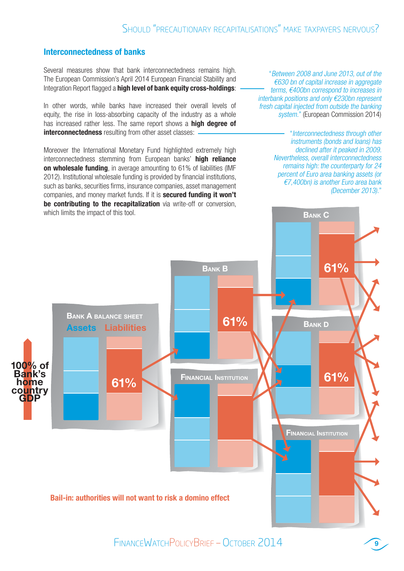### Interconnectedness of banks

Several measures show that bank interconnectedness remains high. The European Commission's April 2014 European Financial Stability and Integration Report flagged a **high level of bank equity cross-holdings**:

In other words, while banks have increased their overall levels of equity, the rise in loss-absorbing capacity of the industry as a whole has increased rather less. The same report shows a **high degree of** interconnectedness resulting from other asset classes:

Moreover the International Monetary Fund highlighted extremely high interconnectedness stemming from European banks' high reliance on wholesale funding, in average amounting to 61% of liabilities (IMF 2012). Institutional wholesale funding is provided by financial institutions, such as banks, securities firms, insurance companies, asset management companies, and money market funds. If it is secured funding it won't be contributing to the recapitalization via write-off or conversion, which limits the impact of this tool.

"Between 2008 and June 2013, out of the €630 bn of capital increase in aggregate terms, €400bn correspond to increases in interbank positions and only €230bn represent fresh capital injected from outside the banking system." (European Commission 2014)

> "Interconnectedness through other instruments (bonds and loans) has declined after it peaked in 2009. Nevertheless, overall interconnectedness remains high: the counterparty for 24 percent of Euro area banking assets (or €7,400bn) is another Euro area bank (December 2013)."

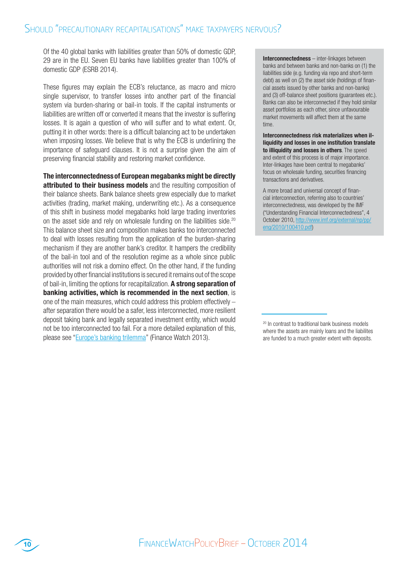Of the 40 global banks with liabilities greater than 50% of domestic GDP, 29 are in the EU. Seven EU banks have liabilities greater than 100% of domestic GDP (ESRB 2014).

These figures may explain the ECB's reluctance, as macro and micro single supervisor, to transfer losses into another part of the financial system via burden-sharing or bail-in tools. If the capital instruments or liabilities are written off or converted it means that the investor is suffering losses. It is again a question of who will suffer and to what extent. Or, putting it in other words: there is a difficult balancing act to be undertaken when imposing losses. We believe that is why the ECB is underlining the importance of safeguard clauses. It is not a surprise given the aim of preserving financial stability and restoring market confidence.

The interconnectednessof European megabanks might be directly attributed to their business models and the resulting composition of their balance sheets. Bank balance sheets grew especially due to market activities (trading, market making, underwriting etc.). As a consequence of this shift in business model megabanks hold large trading inventories on the asset side and rely on wholesale funding on the liabilities side.<sup>20</sup> This balance sheet size and composition makes banks too interconnected to deal with losses resulting from the application of the burden-sharing mechanism if they are another bank's creditor. It hampers the credibility of the bail-in tool and of the resolution regime as a whole since public authorities will not risk a domino effect. On the other hand, if the funding provided by other financial institutions is secured it remains out of the scope of bail-in, limiting the options for recapitalization. A strong separation of banking activities, which is recommended in the next section, is one of the main measures, which could address this problem effectively – after separation there would be a safer, less interconnected, more resilient deposit taking bank and legally separated investment entity, which would not be too interconnected too fail. For a more detailed explanation of this, please see "Europe's banking trilemma" (Finance Watch 2013).

Interconnectedness – inter-linkages between banks and between banks and non-banks on (1) the liabilities side (e.g. funding via repo and short-term debt) as well on (2) the asset side (holdings of financial assets issued by other banks and non-banks) and (3) off-balance sheet positions (guarantees etc.). Banks can also be interconnected if they hold similar asset portfolios as each other, since unfavourable market movements will affect them at the same time.

Interconnectedness risk materializes when illiquidity and losses in one institution translate to illiquidity and losses in others. The speed and extent of this process is of major importance. Inter-linkages have been central to megabanks' focus on wholesale funding, securities financing transactions and derivatives.

A more broad and universal concept of financial interconnection, referring also to countries' interconnectedness, was developed by the IMF ("Understanding Financial Interconnectedness", 4 October 2010, http://www.imf.org/external/np/pp/ eng/2010/100410.pdf)

<sup>&</sup>lt;sup>20</sup> In contrast to traditional bank business models where the assets are mainly loans and the liabilites are funded to a much greater extent with deposits.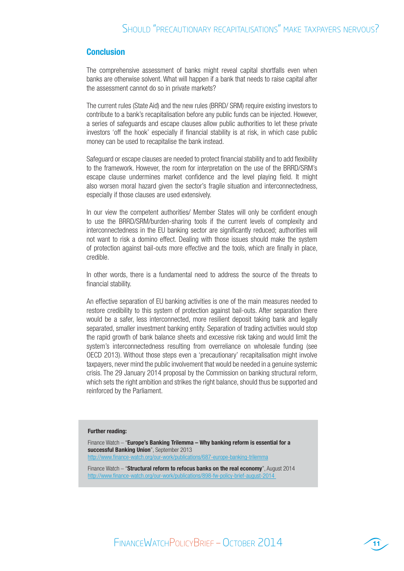### Conclusion

The comprehensive assessment of banks might reveal capital shortfalls even when banks are otherwise solvent. What will happen if a bank that needs to raise capital after the assessment cannot do so in private markets?

The current rules (State Aid) and the new rules (BRRD/ SRM) require existing investors to contribute to a bank's recapitalisation before any public funds can be injected. However, a series of safeguards and escape clauses allow public authorities to let these private investors 'off the hook' especially if financial stability is at risk, in which case public money can be used to recapitalise the bank instead.

Safeguard or escape clauses are needed to protect financial stability and to add flexibility to the framework. However, the room for interpretation on the use of the BRRD/SRM's escape clause undermines market confidence and the level playing field. It might also worsen moral hazard given the sector's fragile situation and interconnectedness, especially if those clauses are used extensively.

In our view the competent authorities/ Member States will only be confident enough to use the BRRD/SRM/burden-sharing tools if the current levels of complexity and interconnectedness in the EU banking sector are significantly reduced; authorities will not want to risk a domino effect. Dealing with those issues should make the system of protection against bail-outs more effective and the tools, which are finally in place, credible.

In other words, there is a fundamental need to address the source of the threats to financial stability.

An effective separation of EU banking activities is one of the main measures needed to restore credibility to this system of protection against bail-outs. After separation there would be a safer, less interconnected, more resilient deposit taking bank and legally separated, smaller investment banking entity. Separation of trading activities would stop the rapid growth of bank balance sheets and excessive risk taking and would limit the system's interconnectedness resulting from overreliance on wholesale funding (see OECD 2013). Without those steps even a 'precautionary' recapitalisation might involve taxpayers, never mind the public involvement that would be needed in a genuine systemic crisis. The 29 January 2014 proposal by the Commission on banking structural reform, which sets the right ambition and strikes the right balance, should thus be supported and reinforced by the Parliament.

#### Further reading:

Finance Watch – "Europe's Banking Trilemma – Why banking reform is essential for a successful Banking Union", September 2013 http://www.finance-watch.org/our-work/publications/687-europe-banking-trilemma

Finance Watch – "Structural reform to refocus banks on the real economy", August 2014 http://www.finance-watch.org/our-work/publications/898-fw-policy-brief-august-2014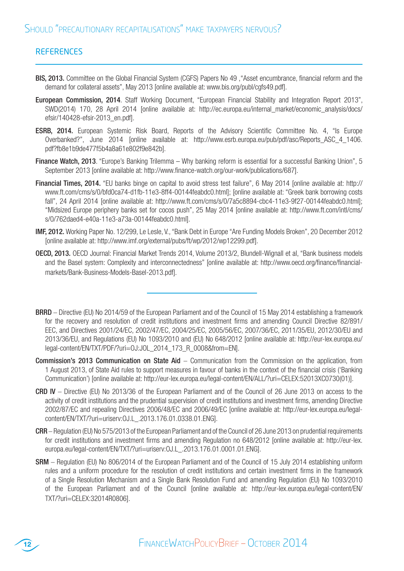# **REFERENCES**

- BIS, 2013. Committee on the Global Financial System (CGFS) Papers No 49 ,"Asset encumbrance, financial reform and the demand for collateral assets", May 2013 [online available at: www.bis.org/publ/cgfs49.pdf].
- European Commission, 2014. Staff Working Document, "European Financial Stability and Integration Report 2013", SWD(2014) 170, 28 April 2014 [online available at: http://ec.europa.eu/internal\_market/economic\_analysis/docs/ efsir/140428-efsir-2013\_en.pdf].
- ESRB, 2014. European Systemic Risk Board, Reports of the Advisory Scientific Committee No. 4, "Is Europe Overbanked?", June 2014 [online available at: http://www.esrb.europa.eu/pub/pdf/asc/Reports ASC 4 1406. pdf?fb8e1b9de477f5b4a8a61e802f9e842b].
- Finance Watch, 2013. "Europe's Banking Trilemma Why banking reform is essential for a successful Banking Union", 5 September 2013 [online available at: http://www.finance-watch.org/our-work/publications/687].
- Financial Times, 2014. "EU banks binge on capital to avoid stress test failure", 6 May 2014 [online available at: http:// www.ft.com/cms/s/0/bfd0ca74-d1fb-11e3-8ff4-00144feabdc0.html]; [online available at: "Greek bank borrowing costs fall", 24 April 2014 [online available at: http://www.ft.com/cms/s/0/7a5c8894-cbc4-11e3-9f27-00144feabdc0.html]; "Midsized Europe periphery banks set for cocos push", 25 May 2014 [online available at: http://www.ft.com/intl/cms/ s/0/762daed4-e40a-11e3-a73a-00144feabdc0.html].
- IMF, 2012. Working Paper No. 12/299, Le Lesle, V., "Bank Debt in Europe "Are Funding Models Broken", 20 December 2012 [online available at: http://www.imf.org/external/pubs/ft/wp/2012/wp12299.pdf].
- OECD, 2013. OECD Journal: Financial Market Trends 2014, Volume 2013/2, Blundell-Wignall et al, "Bank business models and the Basel system: Complexity and interconnectedness" [online available at: http://www.oecd.org/finance/financialmarkets/Bank-Business-Models-Basel-2013.pdf].

BRRD – Directive (EU) No 2014/59 of the European Parliament and of the Council of 15 May 2014 establishing a framework for the recovery and resolution of credit institutions and investment firms and amending Council Directive 82/891/ EEC, and Directives 2001/24/EC, 2002/47/EC, 2004/25/EC, 2005/56/EC, 2007/36/EC, 2011/35/EU, 2012/30/EU and 2013/36/EU, and Regulations (EU) No 1093/2010 and (EU) No 648/2012 [online available at: http://eur-lex.europa.eu/ legal-content/EN/TXT/PDF/?uri=OJ:JOL\_2014\_173\_R\_0008&from=EN].

- Commission's 2013 Communication on State Aid Communication from the Commission on the application, from 1 August 2013, of State Aid rules to support measures in favour of banks in the context of the financial crisis ('Banking Communication') [online available at: http://eur-lex.europa.eu/legal-content/EN/ALL/?uri=CELEX:52013XC0730(01)].
- CRD IV Directive (EU) No 2013/36 of the European Parliament and of the Council of 26 June 2013 on access to the activity of credit institutions and the prudential supervision of credit institutions and investment firms, amending Directive 2002/87/EC and repealing Directives 2006/48/EC and 2006/49/EC [online available at: http://eur-lex.europa.eu/legalcontent/EN/TXT/?uri=uriserv:OJ.L\_.2013.176.01.0338.01.ENG].
- CRR Regulation (EU) No 575/2013 of the European Parliament and of the Council of 26 June 2013 on prudential requirements for credit institutions and investment firms and amending Regulation no 648/2012 [online available at: http://eur-lex. europa.eu/legal-content/EN/TXT/?uri=uriserv:OJ.L\_.2013.176.01.0001.01.ENG].
- SRM Regulation (EU) No 806/2014 of the European Parliament and of the Council of 15 July 2014 establishing uniform rules and a uniform procedure for the resolution of credit institutions and certain investment firms in the framework of a Single Resolution Mechanism and a Single Bank Resolution Fund and amending Regulation (EU) No 1093/2010 of the European Parliament and of the Council [online available at: http://eur-lex.europa.eu/legal-content/EN/ TXT/?uri=CELEX:32014R0806].

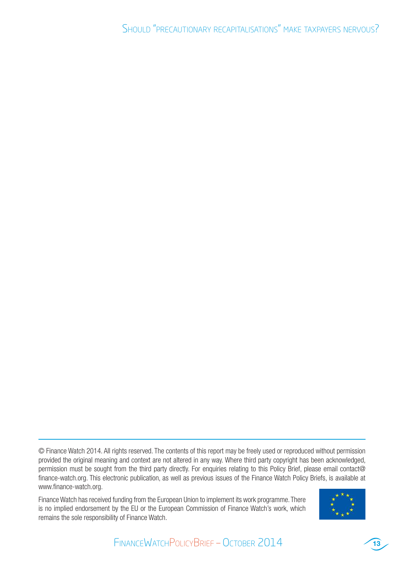© Finance Watch 2014. All rights reserved. The contents of this report may be freely used or reproduced without permission provided the original meaning and context are not altered in any way. Where third party copyright has been acknowledged, permission must be sought from the third party directly. For enquiries relating to this Policy Brief, please email contact@ finance-watch.org. This electronic publication, as well as previous issues of the Finance Watch Policy Briefs, is available at www.finance-watch.org.

Finance Watch has received funding from the European Union to implement its work programme. There is no implied endorsement by the EU or the European Commission of Finance Watch's work, which remains the sole responsibility of Finance Watch.